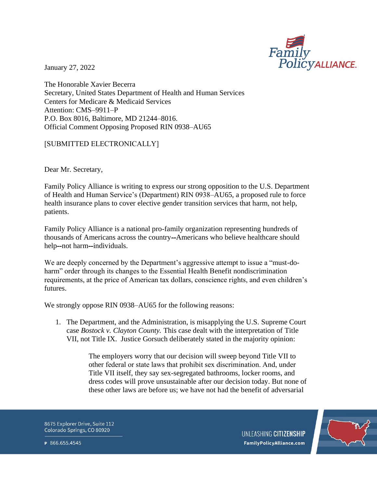

January 27, 2022

The Honorable Xavier Becerra Secretary, United States Department of Health and Human Services Centers for Medicare & Medicaid Services Attention: CMS–9911–P P.O. Box 8016, Baltimore, MD 21244–8016. Official Comment Opposing Proposed RIN 0938–AU65

## [SUBMITTED ELECTRONICALLY]

Dear Mr. Secretary,

Family Policy Alliance is writing to express our strong opposition to the U.S. Department of Health and Human Service's (Department) RIN 0938–AU65, a proposed rule to force health insurance plans to cover elective gender transition services that harm, not help, patients.

Family Policy Alliance is a national pro-family organization representing hundreds of thousands of Americans across the country--Americans who believe healthcare should help-not harm-individuals.

We are deeply concerned by the Department's aggressive attempt to issue a "must-doharm" order through its changes to the Essential Health Benefit nondiscrimination requirements, at the price of American tax dollars, conscience rights, and even children's futures.

We strongly oppose RIN 0938–AU65 for the following reasons:

1. The Department, and the Administration, is misapplying the U.S. Supreme Court case *Bostock v. Clayton County.* This case dealt with the interpretation of Title VII, not Title IX. Justice Gorsuch deliberately stated in the majority opinion:

> The employers worry that our decision will sweep beyond Title VII to other federal or state laws that prohibit sex discrimination. And, under Title VII itself, they say sex-segregated bathrooms, locker rooms, and dress codes will prove unsustainable after our decision today. But none of these other laws are before us; we have not had the benefit of adversarial

8675 Explorer Drive, Suite 112 Colorado Springs, CO 80920



P 866.655.4545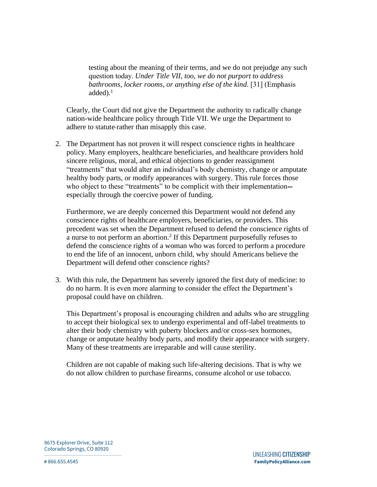testing about the meaning of their terms, and we do not prejudge any such question today. *Under Title VII, too, we do not purport to address bathrooms, locker rooms, or anything else of the kind.* [31] (Emphasis added). $<sup>1</sup>$ </sup>

Clearly, the Court did not give the Department the authority to radically change nation-wide healthcare policy through Title VII. We urge the Department to adhere to statute rather than misapply this case.

2. The Department has not proven it will respect conscience rights in healthcare policy. Many employers, healthcare beneficiaries, and healthcare providers hold sincere religious, moral, and ethical objections to gender reassignment "treatments" that would alter an individual's body chemistry, change or amputate healthy body parts, or modify appearances with surgery. This rule forces those who object to these "treatments" to be complicit with their implementation especially through the coercive power of funding.

Furthermore, we are deeply concerned this Department would not defend any conscience rights of healthcare employers, beneficiaries, or providers. This precedent was set when the Department refused to defend the conscience rights of a nurse to not perform an abortion.<sup>2</sup> If this Department purposefully refuses to defend the conscience rights of a woman who was forced to perform a procedure to end the life of an innocent, unborn child, why should Americans believe the Department will defend other conscience rights?

3. With this rule, the Department has severely ignored the first duty of medicine: to do no harm. It is even more alarming to consider the effect the Department's proposal could have on children.

This Department's proposal is encouraging children and adults who are struggling to accept their biological sex to undergo experimental and off-label treatments to alter their body chemistry with puberty blockers and/or cross-sex hormones, change or amputate healthy body parts, and modify their appearance with surgery. Many of these treatments are irreparable and will cause sterility.

Children are not capable of making such life-altering decisions. That is why we do not allow children to purchase firearms, consume alcohol or use tobacco.

8675 Explorer Drive, Suite 112 Colorado Springs, CO 80920